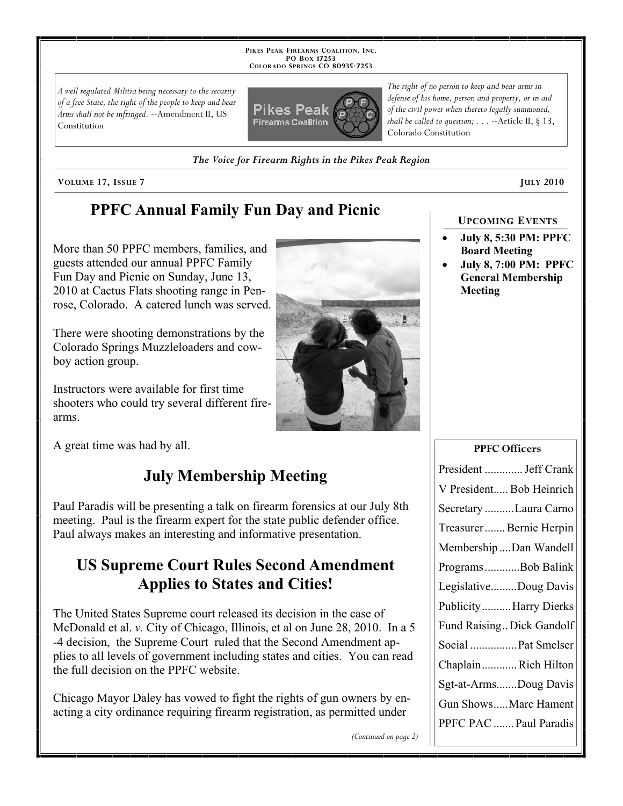**PIKES PEAK FIREARMS COALITION, INC. PO BOX 17253 COLORADO SPRINGS CO 80935 -7253**

*A well regulated Militia being necessary to the security of a free State, the right of the people to keep and bear Arms shall not be infringed.* --Amendment II, US Constitution



*The right of no person to keep and bear arms in defense of his home, person and property, or in aid of the civil power when thereto legally summoned, shall be called to question; . . .* --Article II, § 13, Colorado Constitution

*The Voice for Firearm Rights in the Pikes Peak Region*

**VOLUME** 17, ISSUE 7 **JULY** 2010

# **PPFC Annual Family Fun Day and Picnic**

More than 50 PPFC members, families, and guests attended our annual PPFC Family Fun Day and Picnic on Sunday, June 13, 2010 at Cactus Flats shooting range in Penrose, Colorado. A catered lunch was served.

There were shooting demonstrations by the Colorado Springs Muzzleloaders and cowboy action group.

Instructors were available for first time shooters who could try several different firearms.



#### **UPCOMING EVENTS**

- **July 8, 5:30 PM: PPFC Board Meeting**
- **July 8, 7:00 PM: PPFC General Membership Meeting**

#### A great time was had by all.

## **July Membership Meeting**

Paul Paradis will be presenting a talk on firearm forensics at our July 8th meeting. Paul is the firearm expert for the state public defender office. Paul always makes an interesting and informative presentation.

## **US Supreme Court Rules Second Amendment Applies to States and Cities!**

The United States Supreme court released its decision in the case of McDonald et al. *v.* City of Chicago, Illinois, et al on June 28, 2010. In a 5 -4 decision, the Supreme Court ruled that the Second Amendment applies to all levels of government including states and cities. You can read the full decision on the PPFC website.

Chicago Mayor Daley has vowed to fight the rights of gun owners by enacting a city ordinance requiring firearm registration, as permitted under

*(Continued on page 2)*

| PPFC Officers             |
|---------------------------|
| President  Jeff Crank     |
| V President Bob Heinrich  |
| Secretary Laura Carno     |
| Treasurer Bernie Herpin   |
| MembershipDan Wandell     |
| ProgramsBob Balink        |
| LegislativeDoug Davis     |
| PublicityHarry Dierks     |
| Fund Raising Dick Gandolf |
| Social  Pat Smelser       |
| ChaplainRich Hilton       |
| Sgt-at-ArmsDoug Davis     |
| Gun ShowsMarc Hament      |
| PPFC PAC  Paul Paradis    |

 $P \cap C$